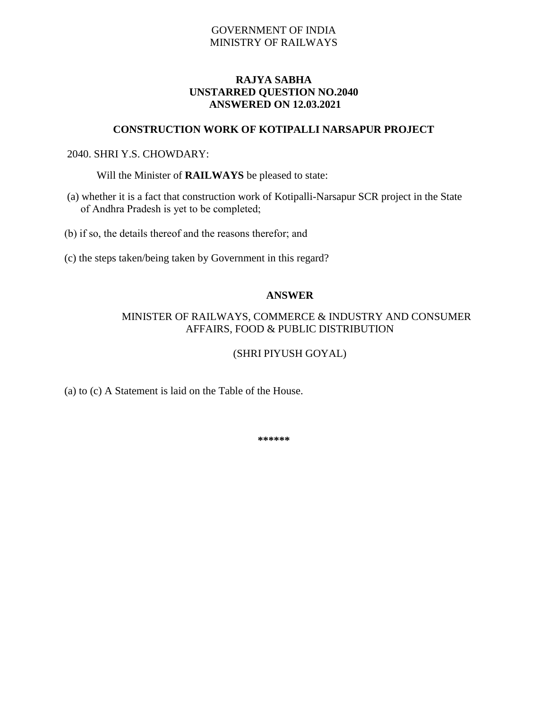# GOVERNMENT OF INDIA MINISTRY OF RAILWAYS

## **RAJYA SABHA UNSTARRED QUESTION NO.2040 ANSWERED ON 12.03.2021**

#### **CONSTRUCTION WORK OF KOTIPALLI NARSAPUR PROJECT**

### 2040. SHRI Y.S. CHOWDARY:

Will the Minister of **RAILWAYS** be pleased to state:

(a) whether it is a fact that construction work of Kotipalli-Narsapur SCR project in the State of Andhra Pradesh is yet to be completed;

(b) if so, the details thereof and the reasons therefor; and

(c) the steps taken/being taken by Government in this regard?

### **ANSWER**

### MINISTER OF RAILWAYS, COMMERCE & INDUSTRY AND CONSUMER AFFAIRS, FOOD & PUBLIC DISTRIBUTION

## (SHRI PIYUSH GOYAL)

(a) to (c) A Statement is laid on the Table of the House.

**\*\*\*\*\*\***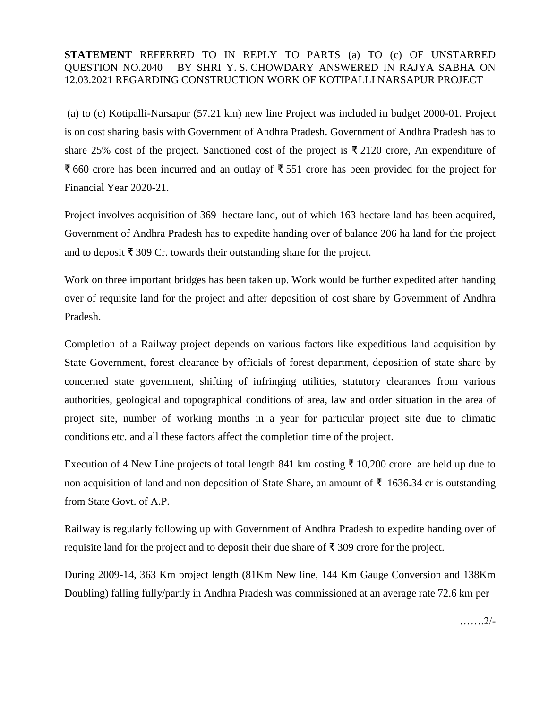## **STATEMENT** REFERRED TO IN REPLY TO PARTS (a) TO (c) OF UNSTARRED QUESTION NO.2040 BY SHRI Y. S. CHOWDARY ANSWERED IN RAJYA SABHA ON 12.03.2021 REGARDING CONSTRUCTION WORK OF KOTIPALLI NARSAPUR PROJECT

(a) to (c) Kotipalli-Narsapur (57.21 km) new line Project was included in budget 2000-01. Project is on cost sharing basis with Government of Andhra Pradesh. Government of Andhra Pradesh has to share 25% cost of the project. Sanctioned cost of the project is  $\bar{\tau}$  2120 crore, An expenditure of ₹ 660 crore has been incurred and an outlay of ₹ 551 crore has been provided for the project for Financial Year 2020-21.

Project involves acquisition of 369 hectare land, out of which 163 hectare land has been acquired, Government of Andhra Pradesh has to expedite handing over of balance 206 ha land for the project and to deposit ₹ 309 Cr. towards their outstanding share for the project.

Work on three important bridges has been taken up. Work would be further expedited after handing over of requisite land for the project and after deposition of cost share by Government of Andhra Pradesh.

Completion of a Railway project depends on various factors like expeditious land acquisition by State Government, forest clearance by officials of forest department, deposition of state share by concerned state government, shifting of infringing utilities, statutory clearances from various authorities, geological and topographical conditions of area, law and order situation in the area of project site, number of working months in a year for particular project site due to climatic conditions etc. and all these factors affect the completion time of the project.

Execution of 4 New Line projects of total length 841 km costing ₹ 10,200 crore are held up due to non acquisition of land and non deposition of State Share, an amount of ₹ 1636.34 cr is outstanding from State Govt. of A.P.

Railway is regularly following up with Government of Andhra Pradesh to expedite handing over of requisite land for the project and to deposit their due share of ₹ 309 crore for the project.

During 2009-14, 363 Km project length (81Km New line, 144 Km Gauge Conversion and 138Km Doubling) falling fully/partly in Andhra Pradesh was commissioned at an average rate 72.6 km per

…….2/-